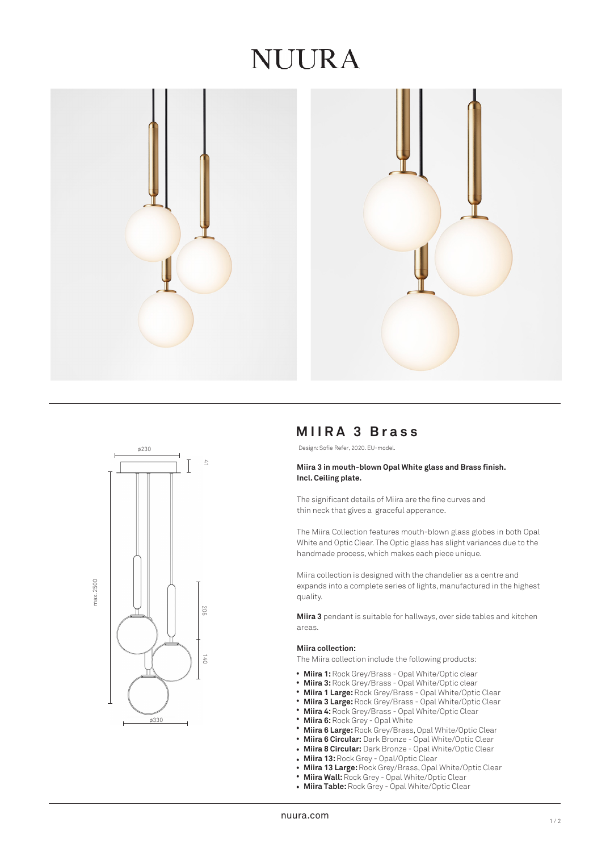# NUURA





# **MIIRA 3 Brass**

Design: Sofie Refer, 2020. EU-model.

## **Miira 3 in mouth-blown Opal White glass and Brass finish. Incl. Ceiling plate.**

The significant details of Miira are the fine curves and thin neck that gives a graceful apperance.

The Miira Collection features mouth-blown glass globes in both Opal White and Optic Clear. The Optic glass has slight variances due to the handmade process, which makes each piece unique.

Miira collection is designed with the chandelier as a centre and expands into a complete series of lights, manufactured in the highest quality.

**Miira 3** pendant is suitable for hallways, over side tables and kitchen areas.

#### **Miira collection:**

The Miira collection include the following products:

- Miira 1: Rock Grey/Brass Opal White/Optic clear
- **Miira 3:** Rock Grey/Brass Opal White/Optic clear •
- **Miira 1 Large:** Rock Grey/Brass Opal White/Optic Clear •
- **Miira 3 Large:** Rock Grey/Brass Opal White/Optic Clear •
- **Miira 4:** Rock Grey/Brass Opal White/Optic Clear •
- **Miira 6:** Rock Grey Opal White •
- **Miira 6 Large:** Rock Grey/Brass, Opal White/Optic Clear •
- **Miira 6 Circular:** Dark Bronze Opal White/Optic Clear •
- **Miira 8 Circular:** Dark Bronze Opal White/Optic Clear •
- **Miira 13:** Rock Grey Opal/Optic Clear
- **Miira 13 Large:** Rock Grey/Brass, Opal White/Optic Clear •
- **Miira Wall:** Rock Grey Opal White/Optic Clear •
- **Miira Table:** Rock Grey Opal White/Optic Clear •